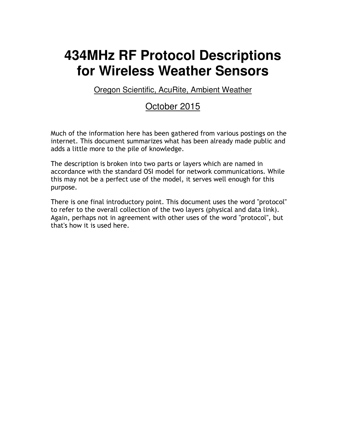# **434MHz RF Protocol Descriptions for Wireless Weather Sensors**

Oregon Scientific, AcuRite, Ambient Weather

#### October 2015

Much of the information here has been gathered from various postings on the internet. This document summarizes what has been already made public and adds a little more to the pile of knowledge.

The description is broken into two parts or layers which are named in accordance with the standard OSI model for network communications. While this may not be a perfect use of the model, it serves well enough for this purpose.

There is one final introductory point. This document uses the word "protocol" to refer to the overall collection of the two layers (physical and data link). Again, perhaps not in agreement with other uses of the word "protocol", but that's how it is used here.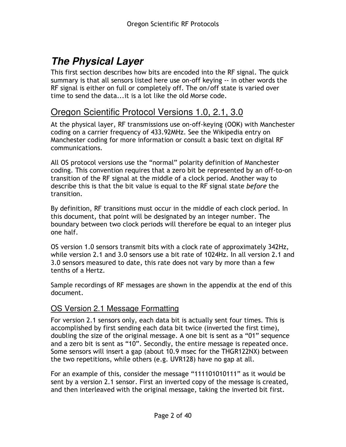## **The Physical Layer**

This first section describes how bits are encoded into the RF signal. The quick summary is that all sensors listed here use on-off keying -- in other words the RF signal is either on full or completely off. The on/off state is varied over time to send the data...it is a lot like the old Morse code.

#### Oregon Scientific Protocol Versions 1.0, 2.1, 3.0

At the physical layer, RF transmissions use on-off-keying (OOK) with Manchester coding on a carrier frequency of 433.92MHz. See the Wikipedia entry on Manchester coding for more information or consult a basic text on digital RF communications.

All OS protocol versions use the "normal" polarity definition of Manchester coding. This convention requires that a zero bit be represented by an off-to-on transition of the RF signal at the middle of a clock period. Another way to describe this is that the bit value is equal to the RF signal state before the transition.

By definition, RF transitions must occur in the middle of each clock period. In this document, that point will be designated by an integer number. The boundary between two clock periods will therefore be equal to an integer plus one half.

OS version 1.0 sensors transmit bits with a clock rate of approximately 342Hz, while version 2.1 and 3.0 sensors use a bit rate of 1024Hz. In all version 2.1 and 3.0 sensors measured to date, this rate does not vary by more than a few tenths of a Hertz.

Sample recordings of RF messages are shown in the appendix at the end of this document.

#### OS Version 2.1 Message Formatting

For version 2.1 sensors only, each data bit is actually sent four times. This is accomplished by first sending each data bit twice (inverted the first time), doubling the size of the original message. A one bit is sent as a "01" sequence and a zero bit is sent as "10". Secondly, the entire message is repeated once. Some sensors will insert a gap (about 10.9 msec for the THGR122NX) between the two repetitions, while others (e.g. UVR128) have no gap at all.

For an example of this, consider the message "111101010111" as it would be sent by a version 2.1 sensor. First an inverted copy of the message is created, and then interleaved with the original message, taking the inverted bit first.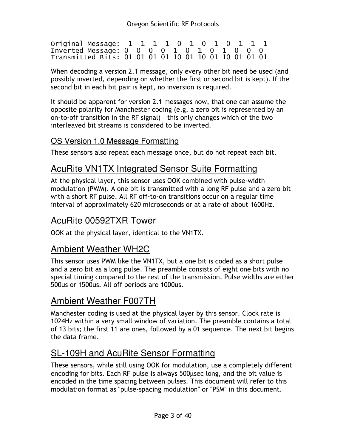Original Message: 1 1 1 1 0 1 0 1 0 1 1 1 Inverted Message: 0 0 0 0 1 0 1 0 1 0 0 0 Transmitted Bits: 01 01 01 01 10 01 10 01 10 01 01 01

When decoding a version 2.1 message, only every other bit need be used (and possibly inverted, depending on whether the first or second bit is kept). If the second bit in each bit pair is kept, no inversion is required.

It should be apparent for version 2.1 messages now, that one can assume the opposite polarity for Manchester coding (e.g. a zero bit is represented by an on-to-off transition in the RF signal) – this only changes which of the two interleaved bit streams is considered to be inverted.

#### OS Version 1.0 Message Formatting

These sensors also repeat each message once, but do not repeat each bit.

## AcuRite VN1TX Integrated Sensor Suite Formatting

At the physical layer, this sensor uses OOK combined with pulse-width modulation (PWM). A one bit is transmitted with a long RF pulse and a zero bit with a short RF pulse. All RF off-to-on transitions occur on a regular time interval of approximately 620 microseconds or at a rate of about 1600Hz.

## AcuRite 00592TXR Tower

OOK at the physical layer, identical to the VN1TX.

#### Ambient Weather WH2C

This sensor uses PWM like the VN1TX, but a one bit is coded as a short pulse and a zero bit as a long pulse. The preamble consists of eight one bits with no special timing compared to the rest of the transmission. Pulse widths are either 500us or 1500us. All off periods are 1000us.

## Ambient Weather F007TH

Manchester coding is used at the physical layer by this sensor. Clock rate is 1024Hz within a very small window of variation. The preamble contains a total of 13 bits; the first 11 are ones, followed by a 01 sequence. The next bit begins the data frame.

## SL-109H and AcuRite Sensor Formatting

These sensors, while still using OOK for modulation, use a completely different encoding for bits. Each RF pulse is always 500µsec long, and the bit value is encoded in the time spacing between pulses. This document will refer to this modulation format as "pulse-spacing modulation" or "PSM" in this document.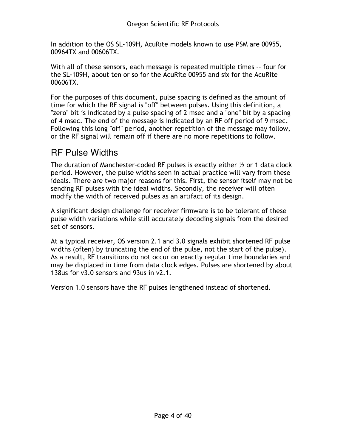In addition to the OS SL-109H, AcuRite models known to use PSM are 00955, 00964TX and 00606TX.

With all of these sensors, each message is repeated multiple times -- four for the SL-109H, about ten or so for the AcuRite 00955 and six for the AcuRite 00606TX.

For the purposes of this document, pulse spacing is defined as the amount of time for which the RF signal is "off" between pulses. Using this definition, a "zero" bit is indicated by a pulse spacing of 2 msec and a "one" bit by a spacing of 4 msec. The end of the message is indicated by an RF off period of 9 msec. Following this long "off" period, another repetition of the message may follow, or the RF signal will remain off if there are no more repetitions to follow.

## RF Pulse Widths

The duration of Manchester-coded RF pulses is exactly either  $\frac{1}{2}$  or 1 data clock period. However, the pulse widths seen in actual practice will vary from these ideals. There are two major reasons for this. First, the sensor itself may not be sending RF pulses with the ideal widths. Secondly, the receiver will often modify the width of received pulses as an artifact of its design.

A significant design challenge for receiver firmware is to be tolerant of these pulse width variations while still accurately decoding signals from the desired set of sensors.

At a typical receiver, OS version 2.1 and 3.0 signals exhibit shortened RF pulse widths (often) by truncating the end of the pulse, not the start of the pulse). As a result, RF transitions do not occur on exactly regular time boundaries and may be displaced in time from data clock edges. Pulses are shortened by about 138us for v3.0 sensors and 93us in v2.1.

Version 1.0 sensors have the RF pulses lengthened instead of shortened.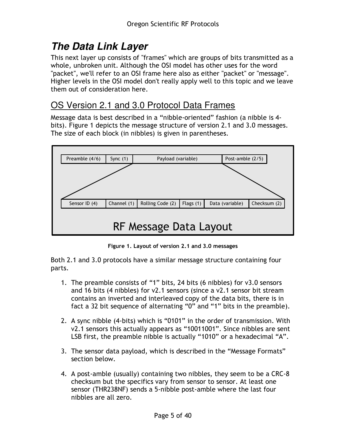# **The Data Link Layer**

This next layer up consists of "frames" which are groups of bits transmitted as a whole, unbroken unit. Although the OSI model has other uses for the word "packet", we'll refer to an OSI frame here also as either "packet" or "message". Higher levels in the OSI model don't really apply well to this topic and we leave them out of consideration here.

## OS Version 2.1 and 3.0 Protocol Data Frames

Message data is best described in a "nibble-oriented" fashion (a nibble is 4 bits). Figure 1 depicts the message structure of version 2.1 and 3.0 messages. The size of each block (in nibbles) is given in parentheses.



Figure 1. Layout of version 2.1 and 3.0 messages

Both 2.1 and 3.0 protocols have a similar message structure containing four parts.

- 1. The preamble consists of "1" bits, 24 bits (6 nibbles) for v3.0 sensors and 16 bits (4 nibbles) for v2.1 sensors (since a v2.1 sensor bit stream contains an inverted and interleaved copy of the data bits, there is in fact a 32 bit sequence of alternating "0" and "1" bits in the preamble).
- 2. A sync nibble (4-bits) which is "0101" in the order of transmission. With v2.1 sensors this actually appears as "10011001". Since nibbles are sent LSB first, the preamble nibble is actually "1010" or a hexadecimal "A".
- 3. The sensor data payload, which is described in the "Message Formats" section below.
- 4. A post-amble (usually) containing two nibbles, they seem to be a CRC-8 checksum but the specifics vary from sensor to sensor. At least one sensor (THR238NF) sends a 5-nibble post-amble where the last four nibbles are all zero.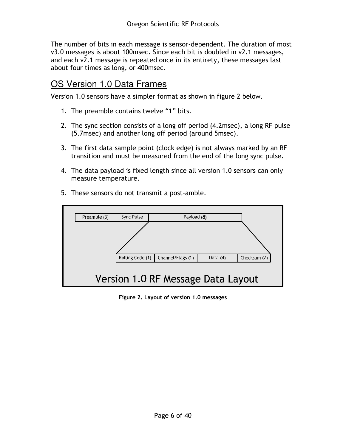The number of bits in each message is sensor-dependent. The duration of most v3.0 messages is about 100msec. Since each bit is doubled in v2.1 messages, and each v2.1 message is repeated once in its entirety, these messages last about four times as long, or 400msec.

## OS Version 1.0 Data Frames

Version 1.0 sensors have a simpler format as shown in figure 2 below.

- 1. The preamble contains twelve "1" bits.
- 2. The sync section consists of a long off period (4.2msec), a long RF pulse (5.7msec) and another long off period (around 5msec).
- 3. The first data sample point (clock edge) is not always marked by an RF transition and must be measured from the end of the long sync pulse.
- 4. The data payload is fixed length since all version 1.0 sensors can only measure temperature.



5. These sensors do not transmit a post-amble.

Figure 2. Layout of version 1.0 messages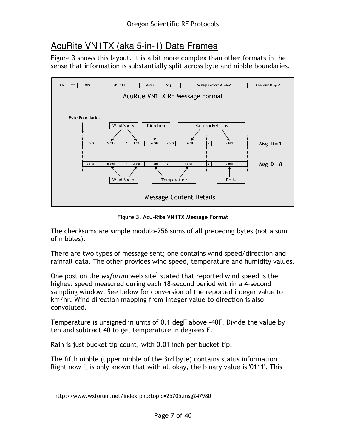## AcuRite VN1TX (aka 5-in-1) Data Frames

Figure 3 shows this layout. It is a bit more complex than other formats in the sense that information is substantially split across byte and nibble boundaries.



Figure 3. Acu-Rite VN1TX Message Format

The checksums are simple modulo-256 sums of all preceding bytes (not a sum of nibbles).

There are two types of message sent; one contains wind speed/direction and rainfall data. The other provides wind speed, temperature and humidity values.

One post on the wxforum web site<sup>1</sup> stated that reported wind speed is the highest speed measured during each 18-second period within a 4-second sampling window. See below for conversion of the reported integer value to km/hr. Wind direction mapping from integer value to direction is also convoluted.

Temperature is unsigned in units of 0.1 degF above -40F. Divide the value by ten and subtract 40 to get temperature in degrees F.

Rain is just bucket tip count, with 0.01 inch per bucket tip.

The fifth nibble (upper nibble of the 3rd byte) contains status information. Right now it is only known that with all okay, the binary value is '0111'. This

 $\overline{a}$ 

<sup>1</sup> http://www.wxforum.net/index.php?topic=25705.msg247980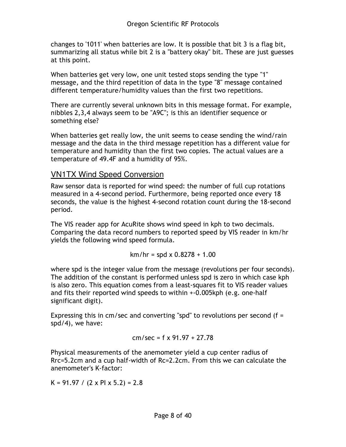changes to '1011' when batteries are low. It is possible that bit 3 is a flag bit, summarizing all status while bit 2 is a "battery okay" bit. These are just guesses at this point.

When batteries get very low, one unit tested stops sending the type "1" message, and the third repetition of data in the type "8" message contained different temperature/humidity values than the first two repetitions.

There are currently several unknown bits in this message format. For example, nibbles 2,3,4 always seem to be "A9C"; is this an identifier sequence or something else?

When batteries get really low, the unit seems to cease sending the wind/rain message and the data in the third message repetition has a different value for temperature and humidity than the first two copies. The actual values are a temperature of 49.4F and a humidity of 95%.

#### VN1TX Wind Speed Conversion

Raw sensor data is reported for wind speed: the number of full cup rotations measured in a 4-second period. Furthermore, being reported once every 18 seconds, the value is the highest 4-second rotation count during the 18-second period.

The VIS reader app for AcuRite shows wind speed in kph to two decimals. Comparing the data record numbers to reported speed by VIS reader in km/hr yields the following wind speed formula.

$$
km/hr = spd \times 0.8278 + 1.00
$$

where spd is the integer value from the message (revolutions per four seconds). The addition of the constant is performed unless spd is zero in which case kph is also zero. This equation comes from a least-squares fit to VIS reader values and fits their reported wind speeds to within +-0.005kph (e.g. one-half significant digit).

Expressing this in cm/sec and converting "spd" to revolutions per second (f = spd/4), we have:

$$
cm/sec = f \times 91.97 + 27.78
$$

Physical measurements of the anemometer yield a cup center radius of Rrc=5.2cm and a cup half-width of Rc=2.2cm. From this we can calculate the anemometer's K-factor:

K = 91.97 / (2 x PI x 5.2) = 2.8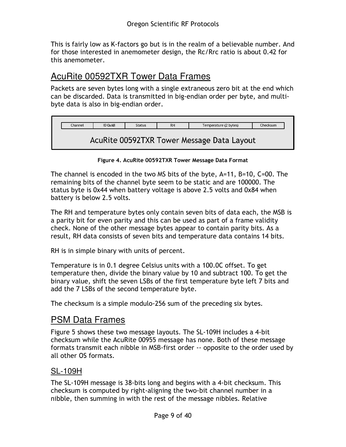This is fairly low as K-factors go but is in the realm of a believable number. And for those interested in anemometer design, the Rc/Rrc ratio is about 0.42 for this anemometer.

#### AcuRite 00592TXR Tower Data Frames

Packets are seven bytes long with a single extraneous zero bit at the end which can be discarded. Data is transmitted in big-endian order per byte, and multibyte data is also in big-endian order.

| Channel                                    | ID 0xA8 | <b>Status</b> | RH | Temperature (2 bytes) | Checksum |  |
|--------------------------------------------|---------|---------------|----|-----------------------|----------|--|
| AcuRite 00592TXR Tower Message Data Layout |         |               |    |                       |          |  |
|                                            |         |               |    |                       |          |  |

Figure 4. AcuRite 00592TXR Tower Message Data Format

The channel is encoded in the two MS bits of the byte, A=11, B=10, C=00. The remaining bits of the channel byte seem to be static and are 100000. The status byte is 0x44 when battery voltage is above 2.5 volts and 0x84 when battery is below 2.5 volts.

The RH and temperature bytes only contain seven bits of data each, the MSB is a parity bit for even parity and this can be used as part of a frame validity check. None of the other message bytes appear to contain parity bits. As a result, RH data consists of seven bits and temperature data contains 14 bits.

RH is in simple binary with units of percent.

Temperature is in 0.1 degree Celsius units with a 100.0C offset. To get temperature then, divide the binary value by 10 and subtract 100. To get the binary value, shift the seven LSBs of the first temperature byte left 7 bits and add the 7 LSBs of the second temperature byte.

The checksum is a simple modulo-256 sum of the preceding six bytes.

## PSM Data Frames

Figure 5 shows these two message layouts. The SL-109H includes a 4-bit checksum while the AcuRite 00955 message has none. Both of these message formats transmit each nibble in MSB-first order -- opposite to the order used by all other OS formats.

#### SL-109H

The SL-109H message is 38-bits long and begins with a 4-bit checksum. This checksum is computed by right-aligning the two-bit channel number in a nibble, then summing in with the rest of the message nibbles. Relative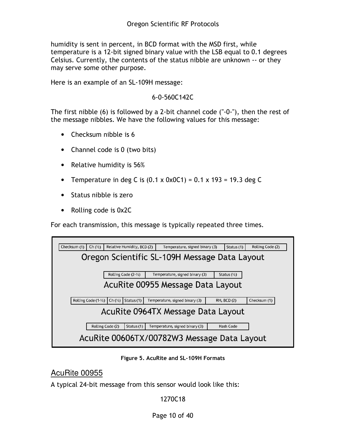humidity is sent in percent, in BCD format with the MSD first, while temperature is a 12-bit signed binary value with the LSB equal to 0.1 degrees Celsius. Currently, the contents of the status nibble are unknown -- or they may serve some other purpose.

Here is an example of an SL-109H message:

#### 6-0-560C142C

The first nibble (6) is followed by a 2-bit channel code ("-0-"), then the rest of the message nibbles. We have the following values for this message:

- Checksum nibble is 6
- Channel code is 0 (two bits)
- Relative humidity is 56%
- Temperature in deg C is  $(0.1 \times 0 \times 0 \times 1) = 0.1 \times 193 = 19.3$  deg C
- Status nibble is zero
- Rolling code is 0x2C

For each transmission, this message is typically repeated three times.

| Checksum (1) | Ch $(\frac{1}{2})$                            |                  | Relative Humidity, BCD (2)     |  | Temperature, signed binary (3) |  | Status (1)             | Rolling Code (2) |
|--------------|-----------------------------------------------|------------------|--------------------------------|--|--------------------------------|--|------------------------|------------------|
|              | Oregon Scientific SL-109H Message Data Layout |                  |                                |  |                                |  |                        |                  |
|              |                                               |                  | Rolling Code $(2-\frac{1}{2})$ |  | Temperature, signed binary (3) |  | Status $(\frac{1}{2})$ |                  |
|              | AcuRite 00955 Message Data Layout             |                  |                                |  |                                |  |                        |                  |
|              | Rolling Code $(1 - \frac{1}{2})$              | Ch (1/2)         | Status (1)                     |  | Temperature, signed binary (3) |  | RH, BCD (2)            | Checksum (1)     |
|              | AcuRite 0964TX Message Data Layout            |                  |                                |  |                                |  |                        |                  |
|              |                                               | Rolling Code (2) | Status (1)                     |  | Temperature, signed binary (3) |  | Hash Code              |                  |
|              | AcuRite 00606TX/00782W3 Message Data Layout   |                  |                                |  |                                |  |                        |                  |

Figure 5. AcuRite and SL-109H Formats

AcuRite 00955

A typical 24-bit message from this sensor would look like this:

1270C18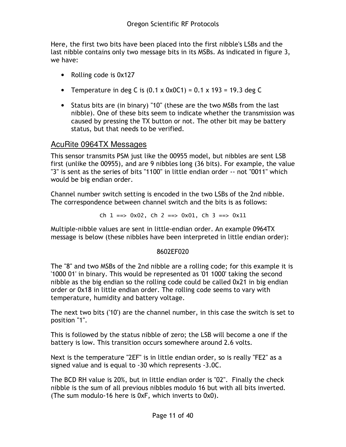Here, the first two bits have been placed into the first nibble's LSBs and the last nibble contains only two message bits in its MSBs. As indicated in figure 3, we have:

- Rolling code is 0x127
- Temperature in deg C is  $(0.1 \times 0 \times 0 \times 1) = 0.1 \times 193 = 19.3$  deg C
- Status bits are (in binary) "10" (these are the two MSBs from the last nibble). One of these bits seem to indicate whether the transmission was caused by pressing the TX button or not. The other bit may be battery status, but that needs to be verified.

#### AcuRite 0964TX Messages

This sensor transmits PSM just like the 00955 model, but nibbles are sent LSB first (unlike the 00955), and are 9 nibbles long (36 bits). For example, the value "3" is sent as the series of bits "1100" in little endian order -- not "0011" which would be big endian order.

Channel number switch setting is encoded in the two LSBs of the 2nd nibble. The correspondence between channel switch and the bits is as follows:

Ch  $1 == 0x02$ , Ch  $2 == 0x01$ , Ch  $3 == 0x11$ 

Multiple-nibble values are sent in little-endian order. An example 0964TX message is below (these nibbles have been interpreted in little endian order):

#### 8602EF020

The "8" and two MSBs of the 2nd nibble are a rolling code; for this example it is '1000 01' in binary. This would be represented as '01 1000' taking the second nibble as the big endian so the rolling code could be called 0x21 in big endian order or 0x18 in little endian order. The rolling code seems to vary with temperature, humidity and battery voltage.

The next two bits ('10') are the channel number, in this case the switch is set to position "1".

This is followed by the status nibble of zero; the LSB will become a one if the battery is low. This transition occurs somewhere around 2.6 volts.

Next is the temperature "2EF" is in little endian order, so is really "FE2" as a signed value and is equal to -30 which represents -3.0C.

The BCD RH value is 20%, but in little endian order is "02". Finally the check nibble is the sum of all previous nibbles modulo 16 but with all bits inverted. (The sum modulo-16 here is 0xF, which inverts to 0x0).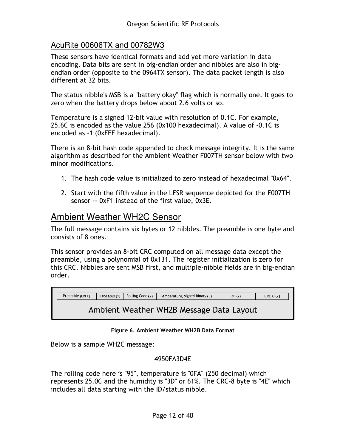#### AcuRite 00606TX and 00782W3

These sensors have identical formats and add yet more variation in data encoding. Data bits are sent in big-endian order and nibbles are also in bigendian order (opposite to the 0964TX sensor). The data packet length is also different at 32 bits.

The status nibble's MSB is a "battery okay" flag which is normally one. It goes to zero when the battery drops below about 2.6 volts or so.

Temperature is a signed 12-bit value with resolution of 0.1C. For example, 25.6C is encoded as the value 256 (0x100 hexadecimal). A value of -0.1C is encoded as -1 (0xFFF hexadecimal).

There is an 8-bit hash code appended to check message integrity. It is the same algorithm as described for the Ambient Weather F007TH sensor below with two minor modifications.

- 1. The hash code value is initialized to zero instead of hexadecimal "0x64".
- 2. Start with the fifth value in the LFSR sequence depicted for the F007TH sensor -- 0xF1 instead of the first value, 0x3E.

#### Ambient Weather WH2C Sensor

The full message contains six bytes or 12 nibbles. The preamble is one byte and consists of 8 ones.

This sensor provides an 8-bit CRC computed on all message data except the preamble, using a polynomial of 0x131. The register initialization is zero for this CRC. Nibbles are sent MSB first, and multiple-nibble fields are in big-endian order.

| Preamble (0xFF) | ID/Status (1) | Rolling Code (2) | Temperature, signed binary (3)           | RH (2) | $CRC-8(2)$ |
|-----------------|---------------|------------------|------------------------------------------|--------|------------|
|                 |               |                  | Ambient Weather WH2B Message Data Layout |        |            |

#### Figure 6. Ambient Weather WH2B Data Format

Below is a sample WH2C message:

#### 4950FA3D4E

The rolling code here is "95", temperature is "0FA" (250 decimal) which represents 25.0C and the humidity is "3D" or 61%. The CRC-8 byte is "4E" which includes all data starting with the ID/status nibble.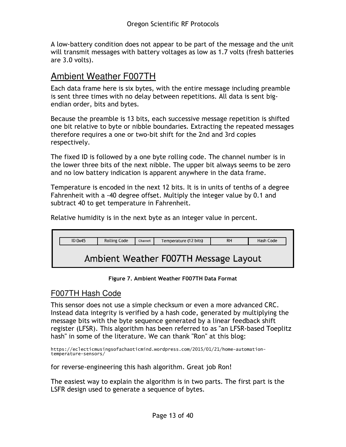A low-battery condition does not appear to be part of the message and the unit will transmit messages with battery voltages as low as 1.7 volts (fresh batteries are 3.0 volts).

## Ambient Weather F007TH

Each data frame here is six bytes, with the entire message including preamble is sent three times with no delay between repetitions. All data is sent bigendian order, bits and bytes.

Because the preamble is 13 bits, each successive message repetition is shifted one bit relative to byte or nibble boundaries. Extracting the repeated messages therefore requires a one or two-bit shift for the 2nd and 3rd copies respectively.

The fixed ID is followed by a one byte rolling code. The channel number is in the lower three bits of the next nibble. The upper bit always seems to be zero and no low battery indication is apparent anywhere in the data frame.

Temperature is encoded in the next 12 bits. It is in units of tenths of a degree Fahrenheit with a -40 degree offset. Multiply the integer value by 0.1 and subtract 40 to get temperature in Fahrenheit.

Relative humidity is in the next byte as an integer value in percent.

| ID 0x45                               | Rolling Code | Channel | Temperature (12 bits) | RH | Hash Code |  |
|---------------------------------------|--------------|---------|-----------------------|----|-----------|--|
|                                       |              |         |                       |    |           |  |
|                                       |              |         |                       |    |           |  |
| Ambient Weather F007TH Message Layout |              |         |                       |    |           |  |

Figure 7. Ambient Weather F007TH Data Format

#### F007TH Hash Code

This sensor does not use a simple checksum or even a more advanced CRC. Instead data integrity is verified by a hash code, generated by multiplying the message bits with the byte sequence generated by a linear feedback shift register (LFSR). This algorithm has been referred to as "an LFSR-based Toeplitz hash" in some of the literature. We can thank "Ron" at this blog:

https://eclecticmusingsofachaoticmind.wordpress.com/2015/01/21/home-automationtemperature-sensors/

for reverse-engineering this hash algorithm. Great job Ron!

The easiest way to explain the algorithm is in two parts. The first part is the LSFR design used to generate a sequence of bytes.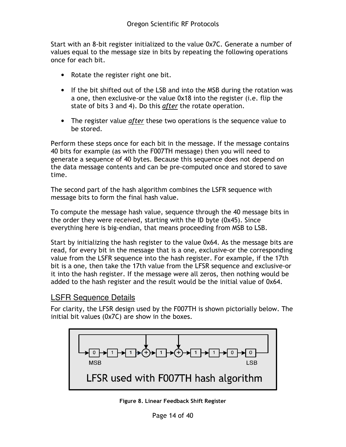Start with an 8-bit register initialized to the value 0x7C. Generate a number of values equal to the message size in bits by repeating the following operations once for each bit.

- Rotate the register right one bit.
- If the bit shifted out of the LSB and into the MSB during the rotation was a one, then exclusive-or the value 0x18 into the register (i.e. flip the state of bits 3 and 4). Do this after the rotate operation.
- The register value *after* these two operations is the sequence value to be stored.

Perform these steps once for each bit in the message. If the message contains 40 bits for example (as with the F007TH message) then you will need to generate a sequence of 40 bytes. Because this sequence does not depend on the data message contents and can be pre-computed once and stored to save time.

The second part of the hash algorithm combines the LSFR sequence with message bits to form the final hash value.

To compute the message hash value, sequence through the 40 message bits in the order they were received, starting with the ID byte (0x45). Since everything here is big-endian, that means proceeding from MSB to LSB.

Start by initializing the hash register to the value 0x64. As the message bits are read, for every bit in the message that is a one, exclusive-or the corresponding value from the LSFR sequence into the hash register. For example, if the 17th bit is a one, then take the 17th value from the LFSR sequence and exclusive-or it into the hash register. If the message were all zeros, then nothing would be added to the hash register and the result would be the initial value of 0x64.

#### LSFR Sequence Details

For clarity, the LFSR design used by the F007TH is shown pictorially below. The initial bit values (0x7C) are show in the boxes.



Figure 8. Linear Feedback Shift Register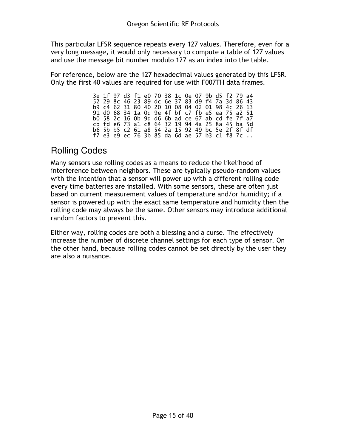This particular LFSR sequence repeats every 127 values. Therefore, even for a very long message, it would only necessary to compute a table of 127 values and use the message bit number modulo 127 as an index into the table.

For reference, below are the 127 hexadecimal values generated by this LFSR. Only the first 40 values are required for use with F007TH data frames.

|  |  |  |  |  |  |  | 3e 1f 97 d3 f1 e0 70 38 1c 0e 07 9b d5 f2 79 a4 |  |
|--|--|--|--|--|--|--|-------------------------------------------------|--|
|  |  |  |  |  |  |  | 52 29 8c 46 23 89 dc 6e 37 83 d9 f4 7a 3d 86 43 |  |
|  |  |  |  |  |  |  | b9 c4 62 31 80 40 20 10 08 04 02 01 98 4c 26 13 |  |
|  |  |  |  |  |  |  | 91 d0 68 34 1a 0d 9e 4f bf c7 fb e5 ea 75 a2 51 |  |
|  |  |  |  |  |  |  | b0 58 2c 16 0b 9d d6 6b ad ce 67 ab cd fe 7f a7 |  |
|  |  |  |  |  |  |  | cb fd e6 73 a1 c8 64 32 19 94 4a 25 8a 45 ba 5d |  |
|  |  |  |  |  |  |  | b6 5b b5 c2 61 a8 54 2a 15 92 49 bc 5e 2f 8f df |  |
|  |  |  |  |  |  |  | f7 e3 e9 ec 76 3b 85 da 6d ae 57 b3 c1 f8 7c    |  |

#### Rolling Codes

Many sensors use rolling codes as a means to reduce the likelihood of interference between neighbors. These are typically pseudo-random values with the intention that a sensor will power up with a different rolling code every time batteries are installed. With some sensors, these are often just based on current measurement values of temperature and/or humidity; if a sensor is powered up with the exact same temperature and humidity then the rolling code may always be the same. Other sensors may introduce additional random factors to prevent this.

Either way, rolling codes are both a blessing and a curse. The effectively increase the number of discrete channel settings for each type of sensor. On the other hand, because rolling codes cannot be set directly by the user they are also a nuisance.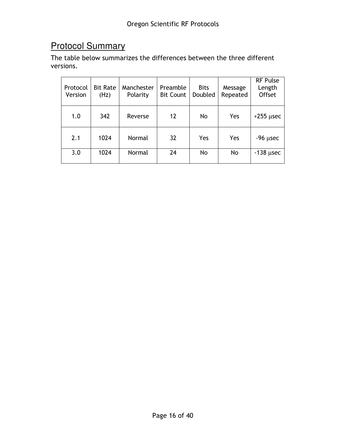# Protocol Summary

The table below summarizes the differences between the three different versions.

| Protocol<br>Version | <b>Bit Rate</b><br>(Hz) | Manchester<br>Polarity | Preamble<br><b>Bit Count</b> | <b>Bits</b><br>Doubled | Message<br>Repeated | <b>RF Pulse</b><br>Length<br>Offset |
|---------------------|-------------------------|------------------------|------------------------------|------------------------|---------------------|-------------------------------------|
| 1.0                 | 342                     | Reverse                | 12                           | No                     | Yes                 | $+255$ usec                         |
| 2.1                 | 1024                    | Normal                 | 32                           | Yes                    | Yes                 | $-96$ $\mu$ sec                     |
| 3.0                 | 1024                    | Normal                 | 24                           | No                     | No                  | $-138$ µsec                         |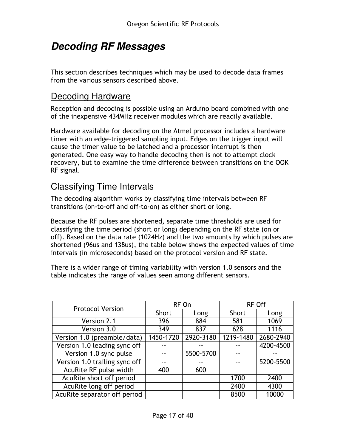## **Decoding RF Messages**

This section describes techniques which may be used to decode data frames from the various sensors described above.

#### Decoding Hardware

Reception and decoding is possible using an Arduino board combined with one of the inexpensive 434MHz receiver modules which are readily available.

Hardware available for decoding on the Atmel processor includes a hardware timer with an edge-triggered sampling input. Edges on the trigger input will cause the timer value to be latched and a processor interrupt is then generated. One easy way to handle decoding then is not to attempt clock recovery, but to examine the time difference between transitions on the OOK RF signal.

## Classifying Time Intervals

The decoding algorithm works by classifying time intervals between RF transitions (on-to-off and off-to-on) as either short or long.

Because the RF pulses are shortened, separate time thresholds are used for classifying the time period (short or long) depending on the RF state (on or off). Based on the data rate (1024Hz) and the two amounts by which pulses are shortened (96us and 138us), the table below shows the expected values of time intervals (in microseconds) based on the protocol version and RF state.

There is a wider range of timing variability with version 1.0 sensors and the table indicates the range of values seen among different sensors.

| <b>Protocol Version</b>       |           | RF On     | <b>RF Off</b> |           |  |
|-------------------------------|-----------|-----------|---------------|-----------|--|
|                               | Short     | Long      | Short         | Long      |  |
| Version 2.1                   | 396       | 884       | 581           | 1069      |  |
| Version 3.0                   | 349       | 837       | 628           | 1116      |  |
| Version 1.0 (preamble/data)   | 1450-1720 | 2920-3180 | 1219-1480     | 2680-2940 |  |
| Version 1.0 leading sync off  |           |           |               | 4200-4500 |  |
| Version 1.0 sync pulse        |           | 5500-5700 |               |           |  |
| Version 1.0 trailing sync off |           |           |               | 5200-5500 |  |
| AcuRite RF pulse width        | 400       | 600       |               |           |  |
| AcuRite short off period      |           |           | 1700          | 2400      |  |
| AcuRite long off period       |           |           | 2400          | 4300      |  |
| AcuRite separator off period  |           |           | 8500          | 10000     |  |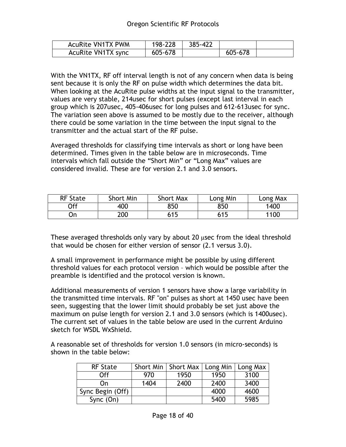| <b>AcuRite VN1TX PWM</b> | 198-228 | 385-422 |         |  |
|--------------------------|---------|---------|---------|--|
| AcuRite VN1TX sync       | 605-678 |         | 605-678 |  |

With the VN1TX, RF off interval length is not of any concern when data is being sent because it is only the RF on pulse width which determines the data bit. When looking at the AcuRite pulse widths at the input signal to the transmitter, values are very stable, 214usec for short pulses (except last interval in each group which is 207usec, 405-406usec for long pulses and 612-613usec for sync. The variation seen above is assumed to be mostly due to the receiver, although there could be some variation in the time between the input signal to the transmitter and the actual start of the RF pulse.

Averaged thresholds for classifying time intervals as short or long have been determined. Times given in the table below are in microseconds. Time intervals which fall outside the "Short Min" or "Long Max" values are considered invalid. These are for version 2.1 and 3.0 sensors.

| <b>RF State</b> | Short Min | <b>Short Max</b> | Long Min | Long Max |
|-----------------|-----------|------------------|----------|----------|
| Off             | 400       | 850              | 850      | 1400     |
| υn              | 200       | 615              | 615      | 1100     |

These averaged thresholds only vary by about 20 µsec from the ideal threshold that would be chosen for either version of sensor (2.1 versus 3.0).

A small improvement in performance might be possible by using different threshold values for each protocol version – which would be possible after the preamble is identified and the protocol version is known.

Additional measurements of version 1 sensors have show a large variability in the transmitted time intervals. RF "on" pulses as short at 1450 usec have been seen, suggesting that the lower limit should probably be set just above the maximum on pulse length for version 2.1 and 3.0 sensors (which is 1400usec). The current set of values in the table below are used in the current Arduino sketch for WSDL WxShield.

A reasonable set of thresholds for version 1.0 sensors (in micro-seconds) is shown in the table below:

| <b>RF</b> State  |      | Short Min   Short Max | Long Min | Long Max |
|------------------|------|-----------------------|----------|----------|
| Off              | 970  | 1950                  | 1950     | 3100     |
| On               | 1404 | 2400                  | 2400     | 3400     |
| Sync Begin (Off) |      |                       | 4000     | 4600     |
| Sync $(On)$      |      |                       | 5400     | 5985     |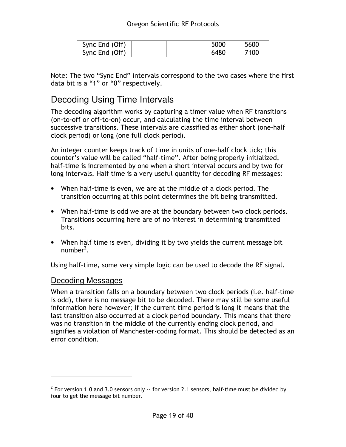| Sync End (Off) |  | 5000 | 5600 |
|----------------|--|------|------|
| Sync End (Off) |  | 6480 | 7100 |

Note: The two "Sync End" intervals correspond to the two cases where the first data bit is a "1" or "0" respectively.

#### Decoding Using Time Intervals

The decoding algorithm works by capturing a timer value when RF transitions (on-to-off or off-to-on) occur, and calculating the time interval between successive transitions. These intervals are classified as either short (one-half clock period) or long (one full clock period).

An integer counter keeps track of time in units of one-half clock tick; this counter's value will be called "half-time". After being properly initialized, half-time is incremented by one when a short interval occurs and by two for long intervals. Half time is a very useful quantity for decoding RF messages:

- When half-time is even, we are at the middle of a clock period. The transition occurring at this point determines the bit being transmitted.
- When half-time is odd we are at the boundary between two clock periods. Transitions occurring here are of no interest in determining transmitted bits.
- When half time is even, dividing it by two yields the current message bit number<sup>2</sup>.

Using half-time, some very simple logic can be used to decode the RF signal.

#### Decoding Messages

 $\overline{a}$ 

When a transition falls on a boundary between two clock periods (i.e. half-time is odd), there is no message bit to be decoded. There may still be some useful information here however; if the current time period is long it means that the last transition also occurred at a clock period boundary. This means that there was no transition in the middle of the currently ending clock period, and signifies a violation of Manchester-coding format. This should be detected as an error condition.

 $^2$  For version 1.0 and 3.0 sensors only  $\cdot\cdot$  for version 2.1 sensors, half-time must be divided by four to get the message bit number.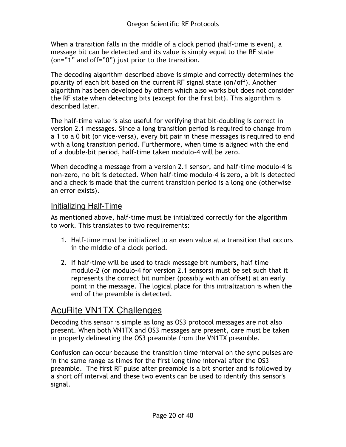When a transition falls in the middle of a clock period (half-time is even), a message bit can be detected and its value is simply equal to the RF state (on="1" and off="0") just prior to the transition.

The decoding algorithm described above is simple and correctly determines the polarity of each bit based on the current RF signal state (on/off). Another algorithm has been developed by others which also works but does not consider the RF state when detecting bits (except for the first bit). This algorithm is described later.

The half-time value is also useful for verifying that bit-doubling is correct in version 2.1 messages. Since a long transition period is required to change from a 1 to a 0 bit (or vice-versa), every bit pair in these messages is required to end with a long transition period. Furthermore, when time is aligned with the end of a double-bit period, half-time taken modulo-4 will be zero.

When decoding a message from a version 2.1 sensor, and half-time modulo-4 is non-zero, no bit is detected. When half-time modulo-4 is zero, a bit is detected and a check is made that the current transition period is a long one (otherwise an error exists).

#### Initializing Half-Time

As mentioned above, half-time must be initialized correctly for the algorithm to work. This translates to two requirements:

- 1. Half-time must be initialized to an even value at a transition that occurs in the middle of a clock period.
- 2. If half-time will be used to track message bit numbers, half time modulo-2 (or modulo-4 for version 2.1 sensors) must be set such that it represents the correct bit number (possibly with an offset) at an early point in the message. The logical place for this initialization is when the end of the preamble is detected.

## AcuRite VN1TX Challenges

Decoding this sensor is simple as long as OS3 protocol messages are not also present. When both VN1TX and OS3 messages are present, care must be taken in properly delineating the OS3 preamble from the VN1TX preamble.

Confusion can occur because the transition time interval on the sync pulses are in the same range as times for the first long time interval after the OS3 preamble. The first RF pulse after preamble is a bit shorter and is followed by a short off interval and these two events can be used to identify this sensor's signal.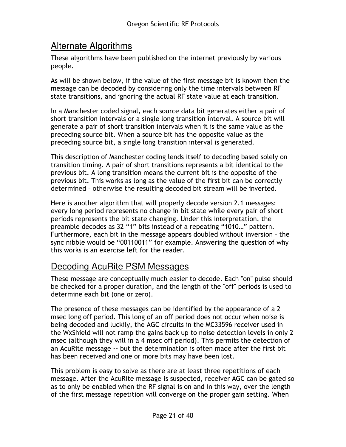## Alternate Algorithms

These algorithms have been published on the internet previously by various people.

As will be shown below, if the value of the first message bit is known then the message can be decoded by considering only the time intervals between RF state transitions, and ignoring the actual RF state value at each transition.

In a Manchester coded signal, each source data bit generates either a pair of short transition intervals or a single long transition interval. A source bit will generate a pair of short transition intervals when it is the same value as the preceding source bit. When a source bit has the opposite value as the preceding source bit, a single long transition interval is generated.

This description of Manchester coding lends itself to decoding based solely on transition timing. A pair of short transitions represents a bit identical to the previous bit. A long transition means the current bit is the opposite of the previous bit. This works as long as the value of the first bit can be correctly determined – otherwise the resulting decoded bit stream will be inverted.

Here is another algorithm that will properly decode version 2.1 messages: every long period represents no change in bit state while every pair of short periods represents the bit state changing. Under this interpretation, the preamble decodes as 32 "1" bits instead of a repeating "1010…" pattern. Furthermore, each bit in the message appears doubled without inversion – the sync nibble would be "00110011" for example. Answering the question of why this works is an exercise left for the reader.

## Decoding AcuRite PSM Messages

These message are conceptually much easier to decode. Each "on" pulse should be checked for a proper duration, and the length of the "off" periods is used to determine each bit (one or zero).

The presence of these messages can be identified by the appearance of a 2 msec long off period. This long of an off period does not occur when noise is being decoded and luckily, the AGC circuits in the MC33596 receiver used in the WxShield will not ramp the gains back up to noise detection levels in only 2 msec (although they will in a 4 msec off period). This permits the detection of an AcuRite message -- but the determination is often made after the first bit has been received and one or more bits may have been lost.

This problem is easy to solve as there are at least three repetitions of each message. After the AcuRite message is suspected, receiver AGC can be gated so as to only be enabled when the RF signal is on and in this way, over the length of the first message repetition will converge on the proper gain setting. When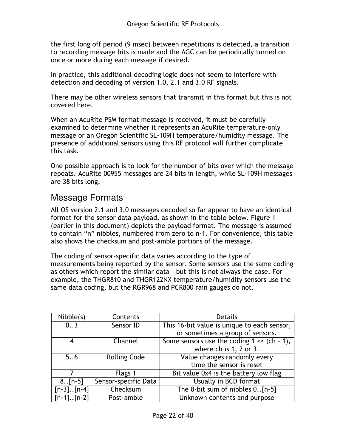the first long off period (9 msec) between repetitions is detected, a transition to recording message bits is made and the AGC can be periodically turned on once or more during each message if desired.

In practice, this additional decoding logic does not seem to interfere with detection and decoding of version 1.0, 2.1 and 3.0 RF signals.

There may be other wireless sensors that transmit in this format but this is not covered here.

When an AcuRite PSM format message is received, it must be carefully examined to determine whether it represents an AcuRite temperature-only message or an Oregon Scientific SL-109H temperature/humidity message. The presence of additional sensors using this RF protocol will further complicate this task.

One possible approach is to look for the number of bits over which the message repeats. AcuRite 00955 messages are 24 bits in length, while SL-109H messages are 38 bits long.

#### Message Formats

All OS version 2.1 and 3.0 messages decoded so far appear to have an identical format for the sensor data payload, as shown in the table below. Figure 1 (earlier in this document) depicts the payload format. The message is assumed to contain "n" nibbles, numbered from zero to n-1. For convenience, this table also shows the checksum and post-amble portions of the message.

The coding of sensor-specific data varies according to the type of measurements being reported by the sensor. Some sensors use the same coding as others which report the similar data – but this is not always the case. For example, the THGR810 and THGR122NX temperature/humidity sensors use the same data coding, but the RGR968 and PCR800 rain gauges do not.

| Nible(s)        | Contents             | <b>Details</b>                                 |
|-----------------|----------------------|------------------------------------------------|
| 03              | Sensor ID            | This 16-bit value is unique to each sensor,    |
|                 |                      | or sometimes a group of sensors.               |
| 4               | Channel              | Some sensors use the coding $1 \ll (ch - 1)$ , |
|                 |                      | where ch is 1, 2 or 3.                         |
| 56              | <b>Rolling Code</b>  | Value changes randomly every                   |
|                 |                      | time the sensor is reset                       |
|                 | Flags 1              | Bit value 0x4 is the battery low flag          |
| $8.$ . [n-5]    | Sensor-specific Data | Usually in BCD format                          |
| $[n-3]$ $[n-4]$ | Checksum             | The 8-bit sum of nibbles 0[n-5]                |
| $[n-1]$ $[n-2]$ | Post-amble           | Unknown contents and purpose                   |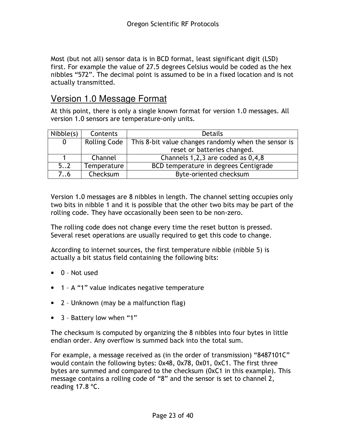Most (but not all) sensor data is in BCD format, least significant digit (LSD) first. For example the value of 27.5 degrees Celsius would be coded as the hex nibbles "572". The decimal point is assumed to be in a fixed location and is not actually transmitted.

#### Version 1.0 Message Format

At this point, there is only a single known format for version 1.0 messages. All version 1.0 sensors are temperature-only units.

| Nibble(s)   | Contents            | <b>Details</b>                                       |
|-------------|---------------------|------------------------------------------------------|
| $\mathbf 0$ | <b>Rolling Code</b> | This 8-bit value changes randomly when the sensor is |
|             |                     | reset or batteries changed.                          |
|             | Channel             | Channels 1,2,3 are coded as 0,4,8                    |
| 52          | Temperature         | BCD temperature in degrees Centigrade                |
| 7.6         | Checksum            | Byte-oriented checksum                               |

Version 1.0 messages are 8 nibbles in length. The channel setting occupies only two bits in nibble 1 and it is possible that the other two bits may be part of the rolling code. They have occasionally been seen to be non-zero.

The rolling code does not change every time the reset button is pressed. Several reset operations are usually required to get this code to change.

According to internet sources, the first temperature nibble (nibble 5) is actually a bit status field containing the following bits:

- 0 Not used
- 1 A "1" value indicates negative temperature
- 2 Unknown (may be a malfunction flag)
- 3 Battery low when "1"

The checksum is computed by organizing the 8 nibbles into four bytes in little endian order. Any overflow is summed back into the total sum.

For example, a message received as (in the order of transmission) "8487101C" would contain the following bytes: 0x48, 0x78, 0x01, 0xC1. The first three bytes are summed and compared to the checksum (0xC1 in this example). This message contains a rolling code of "8" and the sensor is set to channel 2, reading 17.8 ºC.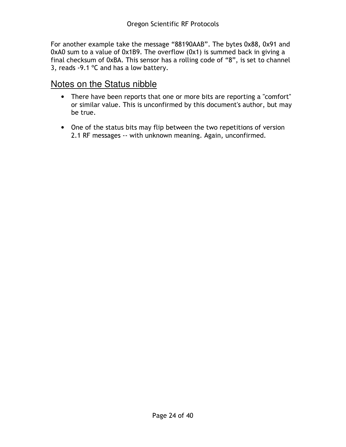For another example take the message "88190AAB". The bytes 0x88, 0x91 and 0xA0 sum to a value of 0x1B9. The overflow (0x1) is summed back in giving a final checksum of 0xBA. This sensor has a rolling code of "8", is set to channel 3, reads -9.1 ºC and has a low battery.

#### Notes on the Status nibble

- There have been reports that one or more bits are reporting a "comfort" or similar value. This is unconfirmed by this document's author, but may be true.
- One of the status bits may flip between the two repetitions of version 2.1 RF messages -- with unknown meaning. Again, unconfirmed.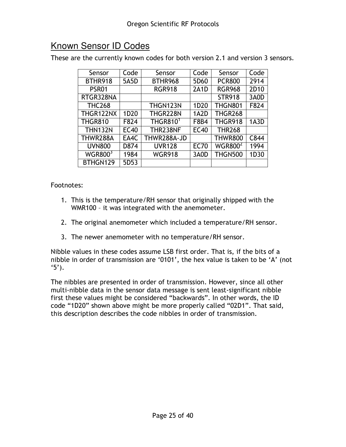## Known Sensor ID Codes

These are the currently known codes for both version 2.1 and version 3 sensors.

| Sensor                     | Code             | Sensor               | Code              | Sensor                    | Code             |
|----------------------------|------------------|----------------------|-------------------|---------------------------|------------------|
| BTHR918                    | 5A5D             | BTHR968              | 5D60              | <b>PCR800</b>             | 2914             |
| PSR01                      |                  | <b>RGR918</b>        | 2A1D              | <b>RGR968</b>             | 2D <sub>10</sub> |
| RTGR328NA                  |                  |                      |                   | <b>STR918</b>             | 3A0D             |
| <b>THC268</b>              |                  | THGN123N             | 1D <sub>20</sub>  | <b>THGN801</b>            | F824             |
| THGR122NX                  | 1D <sub>20</sub> | THGR228N             | 1A <sub>2</sub> D | <b>THGR268</b>            |                  |
| <b>THGR810</b>             | F824             | THGR810 <sup>1</sup> | F8B4              | THGR918                   | 1A3D             |
| <b>THN132N</b>             | <b>EC40</b>      | THR238NF             | <b>EC40</b>       | <b>THR268</b>             |                  |
| THWR288A                   | EA4C             | THWR288A-JD          |                   | <b>THWR800</b>            | C844             |
| <b>UVN800</b>              | D874             | <b>UVR128</b>        | <b>EC70</b>       | <b>WGR800<sup>2</sup></b> | 1994             |
| <b>WGR800</b> <sup>3</sup> | 1984             | <b>WGR918</b>        | 3A0D              | <b>THGN500</b>            | 1D30             |
| BTHGN129                   | 5D <sub>53</sub> |                      |                   |                           |                  |

#### Footnotes:

- 1. This is the temperature/RH sensor that originally shipped with the WMR100 – it was integrated with the anemometer.
- 2. The original anemometer which included a temperature/RH sensor.
- 3. The newer anemometer with no temperature/RH sensor.

Nibble values in these codes assume LSB first order. That is, if the bits of a nibble in order of transmission are '0101', the hex value is taken to be 'A' (not  $(5')$ .

The nibbles are presented in order of transmission. However, since all other multi-nibble data in the sensor data message is sent least-significant nibble first these values might be considered "backwards". In other words, the ID code "1D20" shown above might be more properly called "02D1". That said, this description describes the code nibbles in order of transmission.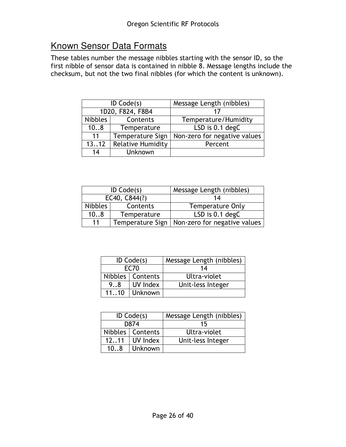## Known Sensor Data Formats

These tables number the message nibbles starting with the sensor ID, so the first nibble of sensor data is contained in nibble  $\overline{8}$ . Message lengths include the checksum, but not the two final nibbles (for which the content is unknown).

| ID Code(s)       |                          | Message Length (nibbles)     |  |
|------------------|--------------------------|------------------------------|--|
| 1D20, F824, F8B4 |                          |                              |  |
| <b>Nibbles</b>   | Contents                 | Temperature/Humidity         |  |
| 108              | Temperature              | LSD is 0.1 degC              |  |
| 11               | Temperature Sign         | Non-zero for negative values |  |
| 1312             | <b>Relative Humidity</b> | Percent                      |  |
| Unknown<br>14    |                          |                              |  |

|               | ID $Code(s)$ | Message Length (nibbles)                        |  |  |
|---------------|--------------|-------------------------------------------------|--|--|
| EC40, C844(?) |              | 14                                              |  |  |
| Nibbles       | Contents     | <b>Temperature Only</b>                         |  |  |
| 108           | Temperature  | LSD is 0.1 degC                                 |  |  |
| 11            |              | Temperature Sign   Non-zero for negative values |  |  |

|                 | ID $Code(s)$       | Message Length (nibbles) |  |  |
|-----------------|--------------------|--------------------------|--|--|
|                 | EC70               | 14                       |  |  |
|                 | Nibbles   Contents | Ultra-violet             |  |  |
| UV Index<br>9.8 |                    | Unit-less Integer        |  |  |
| Unknown<br>1110 |                    |                          |  |  |

|                    | ID $Code(s)$ | Message Length (nibbles) |  |  |
|--------------------|--------------|--------------------------|--|--|
|                    | D874         | 15                       |  |  |
| Nibbles   Contents |              | Ultra-violet             |  |  |
| UV Index<br>1211   |              | Unit-less Integer        |  |  |
| Unknown<br>108     |              |                          |  |  |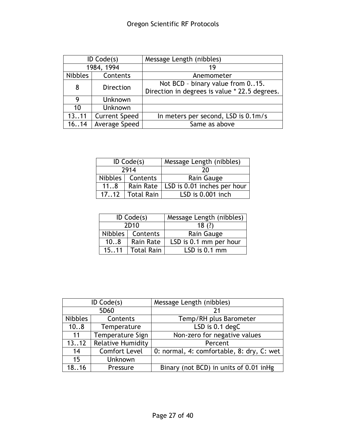| ID $Code(s)$   |                      | Message Length (nibbles)                      |  |  |
|----------------|----------------------|-----------------------------------------------|--|--|
| 1984, 1994     |                      | 19                                            |  |  |
| <b>Nibbles</b> | Contents             | Anemometer                                    |  |  |
| 8              | <b>Direction</b>     | Not BCD - binary value from 015.              |  |  |
|                |                      | Direction in degrees is value * 22.5 degrees. |  |  |
| 9              | Unknown              |                                               |  |  |
| 10             | Unknown              |                                               |  |  |
| 1311           | <b>Current Speed</b> | In meters per second, LSD is 0.1m/s           |  |  |
| 1614           | Average Speed        | Same as above                                 |  |  |

|                            | ID $Code(s)$       | Message Length (nibbles)    |  |  |
|----------------------------|--------------------|-----------------------------|--|--|
|                            | 2914               | 20                          |  |  |
|                            | Nibbles   Contents | Rain Gauge                  |  |  |
| 118<br>Rain Rate           |                    | LSD is 0.01 inches per hour |  |  |
| <b>Total Rain</b><br>17.12 |                    | LSD is $0.001$ inch         |  |  |

|                    | ID $Code(s)$     | Message Length (nibbles) |  |  |
|--------------------|------------------|--------------------------|--|--|
|                    | 2D <sub>10</sub> | 18(?)                    |  |  |
| Nibbles   Contents |                  | Rain Gauge               |  |  |
| 108<br>Rain Rate   |                  | LSD is 0.1 mm per hour   |  |  |
| 1511   Total Rain  |                  | LSD is $0.1$ mm          |  |  |

| ID $Code(s)$   |                          | Message Length (nibbles)                  |  |  |
|----------------|--------------------------|-------------------------------------------|--|--|
| 5D60           |                          | 21                                        |  |  |
| <b>Nibbles</b> | Contents                 | Temp/RH plus Barometer                    |  |  |
| 108            | Temperature              | LSD is 0.1 degC                           |  |  |
| 11             | Temperature Sign         | Non-zero for negative values              |  |  |
| 1312           | <b>Relative Humidity</b> | Percent                                   |  |  |
| 14             | <b>Comfort Level</b>     | 0: normal, 4: comfortable, 8: dry, C: wet |  |  |
| 15             | <b>Unknown</b>           |                                           |  |  |
| 1816           | Pressure                 | Binary (not BCD) in units of 0.01 inHg    |  |  |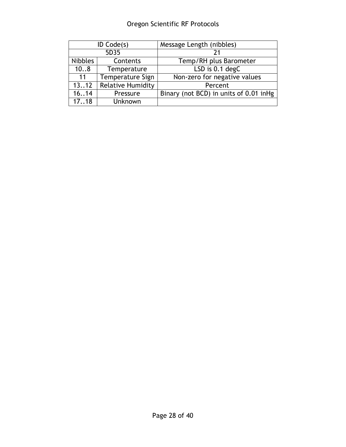## Oregon Scientific RF Protocols

| ID $Code(s)$   |                          | Message Length (nibbles)                |  |  |
|----------------|--------------------------|-----------------------------------------|--|--|
| 5D35           |                          |                                         |  |  |
| <b>Nibbles</b> | Contents                 | Temp/RH plus Barometer                  |  |  |
| 108            | Temperature              | LSD is 0.1 degC                         |  |  |
| 11             | Temperature Sign         | Non-zero for negative values            |  |  |
| 1312           | <b>Relative Humidity</b> | Percent                                 |  |  |
| 16.14          | Pressure                 | Binary (not BCD) in units of 0.01 in Hg |  |  |
| 1718           | Unknown                  |                                         |  |  |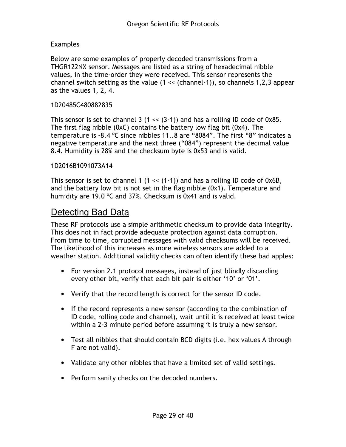#### Examples

Below are some examples of properly decoded transmissions from a THGR122NX sensor. Messages are listed as a string of hexadecimal nibble values, in the time-order they were received. This sensor represents the channel switch setting as the value (1 << (channel-1)), so channels 1,2,3 appear as the values 1, 2, 4.

#### 1D20485C480882835

This sensor is set to channel 3  $(1 \ll (3-1))$  and has a rolling ID code of 0x85. The first flag nibble (0xC) contains the battery low flag bit (0x4). The temperature is -8.4 ºC since nibbles 11..8 are "8084". The first "8" indicates a negative temperature and the next three ("084") represent the decimal value 8.4. Humidity is 28% and the checksum byte is 0x53 and is valid.

#### 1D2016B1091073A14

This sensor is set to channel 1  $(1 \ll (1-1))$  and has a rolling ID code of 0x6B, and the battery low bit is not set in the flag nibble (0x1). Temperature and humidity are 19.0 ºC and 37%. Checksum is 0x41 and is valid.

#### Detecting Bad Data

These RF protocols use a simple arithmetic checksum to provide data integrity. This does not in fact provide adequate protection against data corruption. From time to time, corrupted messages with valid checksums will be received. The likelihood of this increases as more wireless sensors are added to a weather station. Additional validity checks can often identify these bad apples:

- For version 2.1 protocol messages, instead of just blindly discarding every other bit, verify that each bit pair is either '10' or '01'.
- Verify that the record length is correct for the sensor ID code.
- If the record represents a new sensor (according to the combination of ID code, rolling code and channel), wait until it is received at least twice within a 2-3 minute period before assuming it is truly a new sensor.
- Test all nibbles that should contain BCD digits (i.e. hex values A through F are not valid).
- Validate any other nibbles that have a limited set of valid settings.
- Perform sanity checks on the decoded numbers.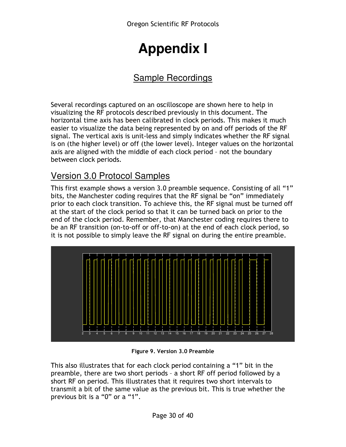# **Appendix I**

## Sample Recordings

Several recordings captured on an oscilloscope are shown here to help in visualizing the RF protocols described previously in this document. The horizontal time axis has been calibrated in clock periods. This makes it much easier to visualize the data being represented by on and off periods of the RF signal. The vertical axis is unit-less and simply indicates whether the RF signal is on (the higher level) or off (the lower level). Integer values on the horizontal axis are aligned with the middle of each clock period – not the boundary between clock periods.

## Version 3.0 Protocol Samples

This first example shows a version 3.0 preamble sequence. Consisting of all "1" bits, the Manchester coding requires that the RF signal be "on" immediately prior to each clock transition. To achieve this, the RF signal must be turned off at the start of the clock period so that it can be turned back on prior to the end of the clock period. Remember, that Manchester coding requires there to be an RF transition (on-to-off or off-to-on) at the end of each clock period, so it is not possible to simply leave the RF signal on during the entire preamble.



Figure 9. Version 3.0 Preamble

This also illustrates that for each clock period containing a "1" bit in the preamble, there are two short periods – a short RF off period followed by a short RF on period. This illustrates that it requires two short intervals to transmit a bit of the same value as the previous bit. This is true whether the previous bit is a "0" or a "1".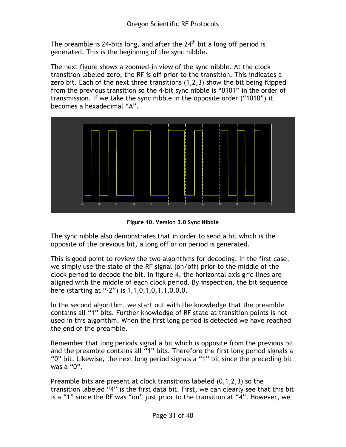The preamble is 24-bits long, and after the  $24<sup>th</sup>$  bit a long off period is generated. This is the beginning of the sync nibble.

The next figure shows a zoomed-in view of the sync nibble. At the clock transition labeled zero, the RF is off prior to the transition. This indicates a zero bit. Each of the next three transitions (1,2,3) show the bit being flipped from the previous transition so the 4-bit sync nibble is "0101" in the order of transmission. If we take the sync nibble in the opposite order ("1010") it becomes a hexadecimal "A".



Figure 10. Version 3.0 Sync Nibble

The sync nibble also demonstrates that in order to send a bit which is the opposite of the previous bit, a long off or on period is generated.

This is good point to review the two algorithms for decoding. In the first case, we simply use the state of the RF signal (on/off) prior to the middle of the clock period to decode the bit. In figure 4, the horizontal axis grid lines are aligned with the middle of each clock period. By inspection, the bit sequence here (starting at "-2") is 1,1,0,1,0,1,1,0,0,0.

In the second algorithm, we start out with the knowledge that the preamble contains all "1" bits. Further knowledge of RF state at transition points is not used in this algorithm. When the first long period is detected we have reached the end of the preamble.

Remember that long periods signal a bit which is opposite from the previous bit and the preamble contains all "1" bits. Therefore the first long period signals a "0" bit. Likewise, the next long period signals a "1" bit since the preceding bit was a "0".

Preamble bits are present at clock transitions labeled  $(0,1,2,3)$  so the transition labeled "4" is the first data bit. First, we can clearly see that this bit is a "1" since the RF was "on" just prior to the transition at "4". However, we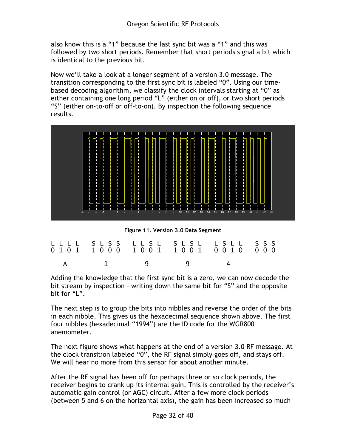also know this is a "1" because the last sync bit was a "1" and this was followed by two short periods. Remember that short periods signal a bit which is identical to the previous bit.

Now we'll take a look at a longer segment of a version 3.0 message. The transition corresponding to the first sync bit is labeled "0". Using our timebased decoding algorithm, we classify the clock intervals starting at "0" as either containing one long period "L" (either on or off), or two short periods "S" (either on-to-off or off-to-on). By inspection the following sequence results.



Figure 11. Version 3.0 Data Segment

| LLLL SLSS LLSL SLSL LSLL SSS |  |  |
|------------------------------|--|--|
| A 1 9 9 4                    |  |  |

Adding the knowledge that the first sync bit is a zero, we can now decode the bit stream by inspection – writing down the same bit for "S" and the opposite bit for "L".

The next step is to group the bits into nibbles and reverse the order of the bits in each nibble. This gives us the hexadecimal sequence shown above. The first four nibbles (hexadecimal "1994") are the ID code for the WGR800 anemometer.

The next figure shows what happens at the end of a version 3.0 RF message. At the clock transition labeled "0", the RF signal simply goes off, and stays off. We will hear no more from this sensor for about another minute.

After the RF signal has been off for perhaps three or so clock periods, the receiver begins to crank up its internal gain. This is controlled by the receiver's automatic gain control (or AGC) circuit. After a few more clock periods (between 5 and 6 on the horizontal axis), the gain has been increased so much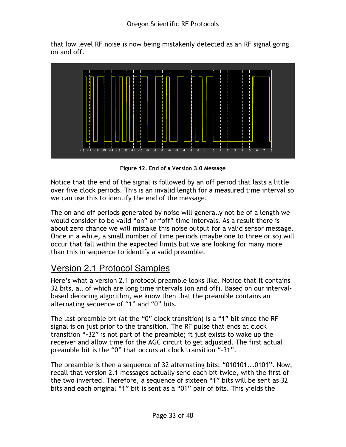that low level RF noise is now being mistakenly detected as an RF signal going on and off.



Figure 12. End of a Version 3.0 Message

Notice that the end of the signal is followed by an off period that lasts a little over five clock periods. This is an invalid length for a measured time interval so we can use this to identify the end of the message.

The on and off periods generated by noise will generally not be of a length we would consider to be valid "on" or "off" time intervals. As a result there is about zero chance we will mistake this noise output for a valid sensor message. Once in a while, a small number of time periods (maybe one to three or so) will occur that fall within the expected limits but we are looking for many more than this in sequence to identify a valid preamble.

## Version 2.1 Protocol Samples

Here's what a version 2.1 protocol preamble looks like. Notice that it contains 32 bits, all of which are long time intervals (on and off). Based on our intervalbased decoding algorithm, we know then that the preamble contains an alternating sequence of "1" and "0" bits.

The last preamble bit (at the "0" clock transition) is a "1" bit since the RF signal is on just prior to the transition. The RF pulse that ends at clock transition "-32" is not part of the preamble; it just exists to wake up the receiver and allow time for the AGC circuit to get adjusted. The first actual preamble bit is the "0" that occurs at clock transition "-31".

The preamble is then a sequence of 32 alternating bits: "010101...0101". Now, recall that version 2.1 messages actually send each bit twice, with the first of the two inverted. Therefore, a sequence of sixteen "1" bits will be sent as 32 bits and each original "1" bit is sent as a "01" pair of bits. This yields the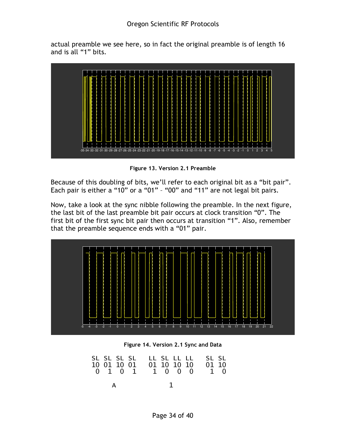actual preamble we see here, so in fact the original preamble is of length 16 and is all "1" bits.



Figure 13. Version 2.1 Preamble

Because of this doubling of bits, we'll refer to each original bit as a "bit pair". Each pair is either a "10" or a "01" – "00" and "11" are not legal bit pairs.

Now, take a look at the sync nibble following the preamble. In the next figure, the last bit of the last preamble bit pair occurs at clock transition "0". The first bit of the first sync bit pair then occurs at transition "1". Also, remember that the preamble sequence ends with a "01" pair.



Figure 14. Version 2.1 Sync and Data

| SL SL SL SL LL SL LL LL SL SL SL<br>10 01 10 01 01 10 10 10 01 10<br>0 1 0 1 1 0 0 0 1 0 |  |
|------------------------------------------------------------------------------------------|--|
|                                                                                          |  |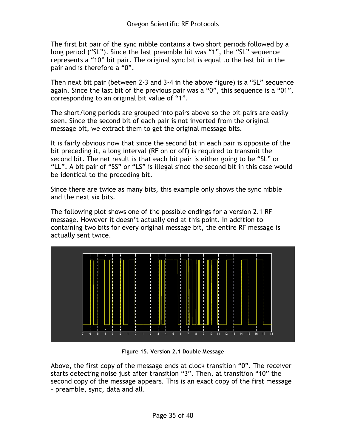The first bit pair of the sync nibble contains a two short periods followed by a long period ("SL"). Since the last preamble bit was "1", the "SL" sequence represents a "10" bit pair. The original sync bit is equal to the last bit in the pair and is therefore a "0".

Then next bit pair (between 2-3 and 3-4 in the above figure) is a "SL" sequence again. Since the last bit of the previous pair was a "0", this sequence is a "01", corresponding to an original bit value of "1".

The short/long periods are grouped into pairs above so the bit pairs are easily seen. Since the second bit of each pair is not inverted from the original message bit, we extract them to get the original message bits.

It is fairly obvious now that since the second bit in each pair is opposite of the bit preceding it, a long interval (RF on or off) is required to transmit the second bit. The net result is that each bit pair is either going to be "SL" or "LL". A bit pair of "SS" or "LS" is illegal since the second bit in this case would be identical to the preceding bit.

Since there are twice as many bits, this example only shows the sync nibble and the next six bits.

The following plot shows one of the possible endings for a version 2.1 RF message. However it doesn't actually end at this point. In addition to containing two bits for every original message bit, the entire RF message is actually sent twice.



Figure 15. Version 2.1 Double Message

Above, the first copy of the message ends at clock transition "0". The receiver starts detecting noise just after transition "3". Then, at transition "10" the second copy of the message appears. This is an exact copy of the first message – preamble, sync, data and all.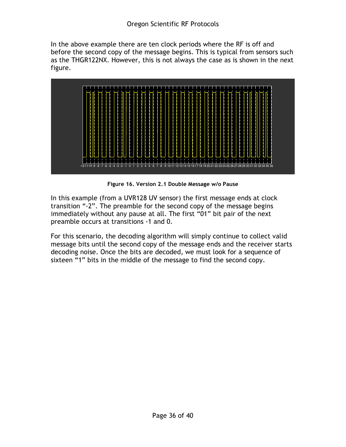In the above example there are ten clock periods where the RF is off and before the second copy of the message begins. This is typical from sensors such as the THGR122NX. However, this is not always the case as is shown in the next figure.



Figure 16. Version 2.1 Double Message w/o Pause

In this example (from a UVR128 UV sensor) the first message ends at clock transition "-2". The preamble for the second copy of the message begins immediately without any pause at all. The first "01" bit pair of the next preamble occurs at transitions -1 and 0.

For this scenario, the decoding algorithm will simply continue to collect valid message bits until the second copy of the message ends and the receiver starts decoding noise. Once the bits are decoded, we must look for a sequence of sixteen "1" bits in the middle of the message to find the second copy.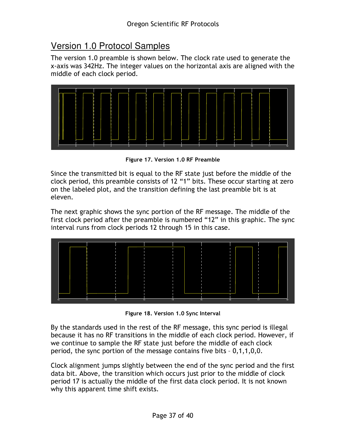## Version 1.0 Protocol Samples

The version 1.0 preamble is shown below. The clock rate used to generate the x-axis was 342Hz. The integer values on the horizontal axis are aligned with the middle of each clock period.



Figure 17. Version 1.0 RF Preamble

Since the transmitted bit is equal to the RF state just before the middle of the clock period, this preamble consists of 12 "1" bits. These occur starting at zero on the labeled plot, and the transition defining the last preamble bit is at eleven.

The next graphic shows the sync portion of the RF message. The middle of the first clock period after the preamble is numbered "12" in this graphic. The sync interval runs from clock periods 12 through 15 in this case.



Figure 18. Version 1.0 Sync Interval

By the standards used in the rest of the RF message, this sync period is illegal because it has no RF transitions in the middle of each clock period. However, if we continue to sample the RF state just before the middle of each clock period, the sync portion of the message contains five bits – 0,1,1,0,0.

Clock alignment jumps slightly between the end of the sync period and the first data bit. Above, the transition which occurs just prior to the middle of clock period 17 is actually the middle of the first data clock period. It is not known why this apparent time shift exists.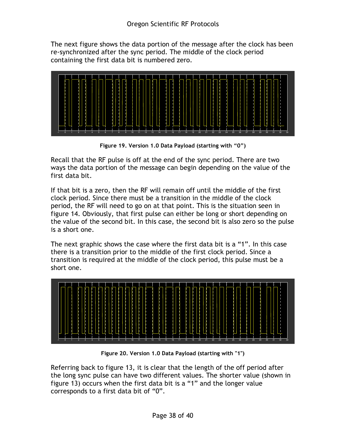The next figure shows the data portion of the message after the clock has been re-synchronized after the sync period. The middle of the clock period containing the first data bit is numbered zero.



Figure 19. Version 1.0 Data Payload (starting with "0")

Recall that the RF pulse is off at the end of the sync period. There are two ways the data portion of the message can begin depending on the value of the first data bit.

If that bit is a zero, then the RF will remain off until the middle of the first clock period. Since there must be a transition in the middle of the clock period, the RF will need to go on at that point. This is the situation seen in figure 14. Obviously, that first pulse can either be long or short depending on the value of the second bit. In this case, the second bit is also zero so the pulse is a short one.

The next graphic shows the case where the first data bit is a "1". In this case there is a transition prior to the middle of the first clock period. Since a transition is required at the middle of the clock period, this pulse must be a short one.



Figure 20. Version 1.0 Data Payload (starting with "1")

Referring back to figure 13, it is clear that the length of the off period after the long sync pulse can have two different values. The shorter value (shown in figure 13) occurs when the first data bit is a "1" and the longer value corresponds to a first data bit of "0".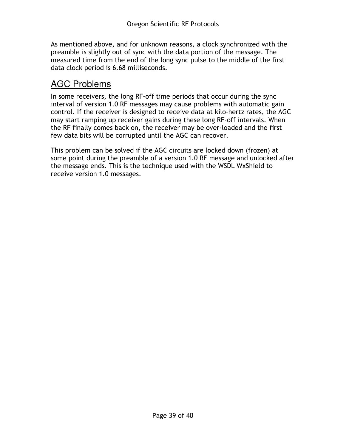As mentioned above, and for unknown reasons, a clock synchronized with the preamble is slightly out of sync with the data portion of the message. The measured time from the end of the long sync pulse to the middle of the first data clock period is 6.68 milliseconds.

## AGC Problems

In some receivers, the long RF-off time periods that occur during the sync interval of version 1.0 RF messages may cause problems with automatic gain control. If the receiver is designed to receive data at kilo-hertz rates, the AGC may start ramping up receiver gains during these long RF-off intervals. When the RF finally comes back on, the receiver may be over-loaded and the first few data bits will be corrupted until the AGC can recover.

This problem can be solved if the AGC circuits are locked down (frozen) at some point during the preamble of a version 1.0 RF message and unlocked after the message ends. This is the technique used with the WSDL WxShield to receive version 1.0 messages.